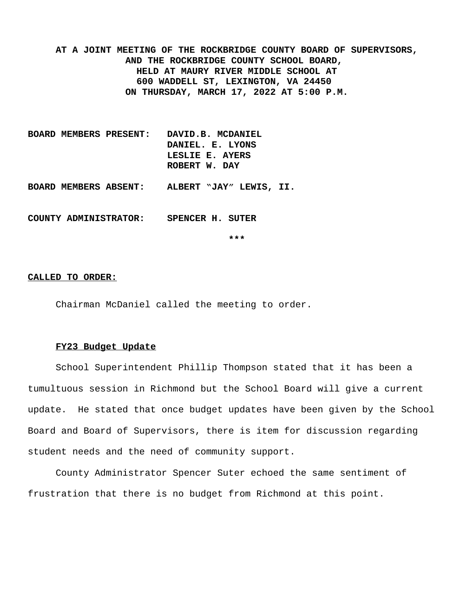**AT A JOINT MEETING OF THE ROCKBRIDGE COUNTY BOARD OF SUPERVISORS, AND THE ROCKBRIDGE COUNTY SCHOOL BOARD, HELD AT MAURY RIVER MIDDLE SCHOOL AT 600 WADDELL ST, LEXINGTON, VA 24450 ON THURSDAY, MARCH 17, 2022 AT 5:00 P.M.**

- **BOARD MEMBERS PRESENT: DAVID.B. MCDANIEL DANIEL. E. LYONS LESLIE E. AYERS ROBERT W. DAY**
- **BOARD MEMBERS ABSENT: ALBERT "JAY" LEWIS, II.**

**COUNTY ADMINISTRATOR: SPENCER H. SUTER**

**\*\*\***

#### **CALLED TO ORDER:**

Chairman McDaniel called the meeting to order.

#### **FY23 Budget Update**

School Superintendent Phillip Thompson stated that it has been a tumultuous session in Richmond but the School Board will give a current update. He stated that once budget updates have been given by the School Board and Board of Supervisors, there is item for discussion regarding student needs and the need of community support.

County Administrator Spencer Suter echoed the same sentiment of frustration that there is no budget from Richmond at this point.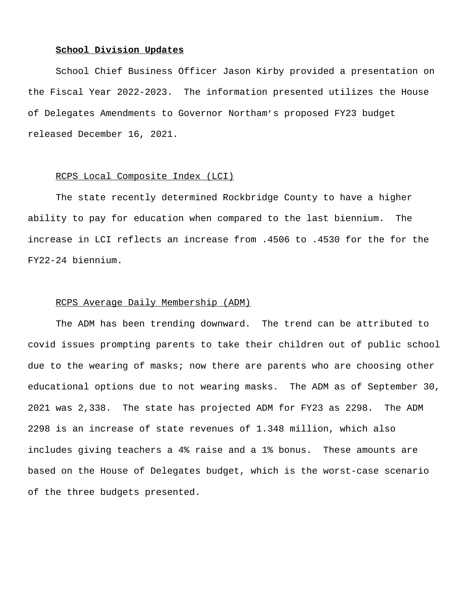### **School Division Updates**

School Chief Business Officer Jason Kirby provided a presentation on the Fiscal Year 2022-2023. The information presented utilizes the House of Delegates Amendments to Governor Northam's proposed FY23 budget released December 16, 2021.

### RCPS Local Composite Index (LCI)

The state recently determined Rockbridge County to have a higher ability to pay for education when compared to the last biennium. The increase in LCI reflects an increase from .4506 to .4530 for the for the FY22-24 biennium.

### RCPS Average Daily Membership (ADM)

The ADM has been trending downward. The trend can be attributed to covid issues prompting parents to take their children out of public school due to the wearing of masks; now there are parents who are choosing other educational options due to not wearing masks. The ADM as of September 30, 2021 was 2,338. The state has projected ADM for FY23 as 2298. The ADM 2298 is an increase of state revenues of 1.348 million, which also includes giving teachers a 4% raise and a 1% bonus. These amounts are based on the House of Delegates budget, which is the worst-case scenario of the three budgets presented.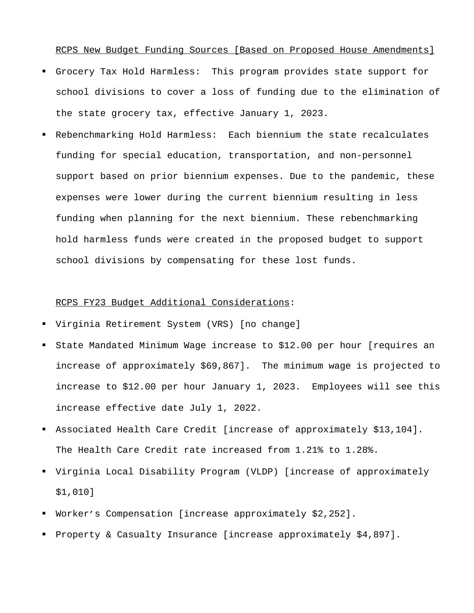RCPS New Budget Funding Sources [Based on Proposed House Amendments]

- Grocery Tax Hold Harmless: This program provides state support for school divisions to cover a loss of funding due to the elimination of the state grocery tax, effective January 1, 2023.
- Rebenchmarking Hold Harmless: Each biennium the state recalculates funding for special education, transportation, and non-personnel support based on prior biennium expenses. Due to the pandemic, these expenses were lower during the current biennium resulting in less funding when planning for the next biennium. These rebenchmarking hold harmless funds were created in the proposed budget to support school divisions by compensating for these lost funds.

### RCPS FY23 Budget Additional Considerations:

- Virginia Retirement System (VRS) [no change]
- State Mandated Minimum Wage increase to \$12.00 per hour [requires an increase of approximately \$69,867]. The minimum wage is projected to increase to \$12.00 per hour January 1, 2023. Employees will see this increase effective date July 1, 2022.
- Associated Health Care Credit [increase of approximately \$13,104]. The Health Care Credit rate increased from 1.21% to 1.28%.
- Virginia Local Disability Program (VLDP) [increase of approximately \$1,010]
- Worker's Compensation [increase approximately \$2,252].
- Property & Casualty Insurance [increase approximately \$4,897].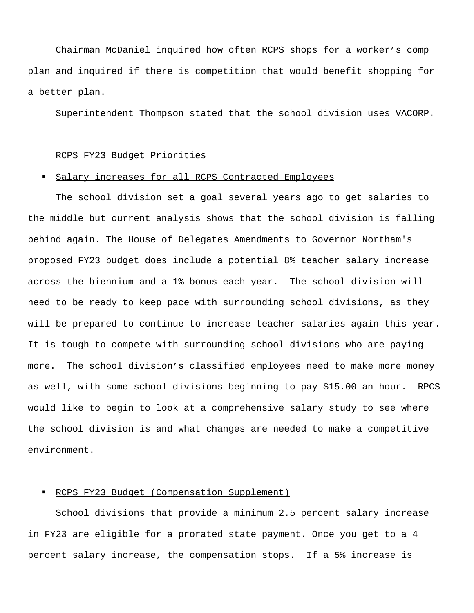Chairman McDaniel inquired how often RCPS shops for a worker's comp plan and inquired if there is competition that would benefit shopping for a better plan.

Superintendent Thompson stated that the school division uses VACORP.

#### RCPS FY23 Budget Priorities

## Salary increases for all RCPS Contracted Employees

The school division set a goal several years ago to get salaries to the middle but current analysis shows that the school division is falling behind again. The House of Delegates Amendments to Governor Northam's proposed FY23 budget does include a potential 8% teacher salary increase across the biennium and a 1% bonus each year. The school division will need to be ready to keep pace with surrounding school divisions, as they will be prepared to continue to increase teacher salaries again this year. It is tough to compete with surrounding school divisions who are paying more. The school division's classified employees need to make more money as well, with some school divisions beginning to pay \$15.00 an hour. RPCS would like to begin to look at a comprehensive salary study to see where the school division is and what changes are needed to make a competitive environment.

### RCPS FY23 Budget (Compensation Supplement)

School divisions that provide a minimum 2.5 percent salary increase in FY23 are eligible for a prorated state payment. Once you get to a 4 percent salary increase, the compensation stops. If a 5% increase is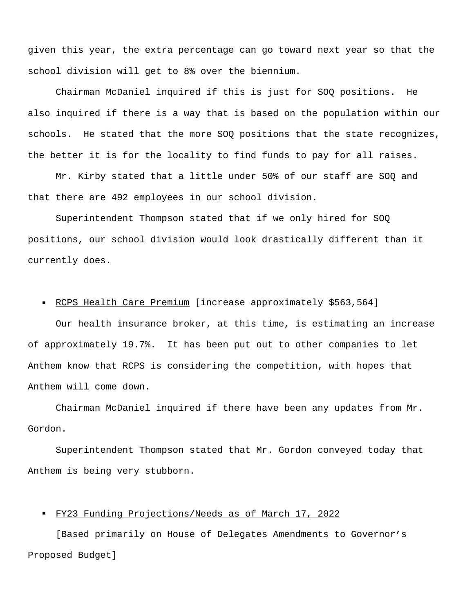given this year, the extra percentage can go toward next year so that the school division will get to 8% over the biennium.

Chairman McDaniel inquired if this is just for SOQ positions. He also inquired if there is a way that is based on the population within our schools. He stated that the more SOQ positions that the state recognizes, the better it is for the locality to find funds to pay for all raises.

Mr. Kirby stated that a little under 50% of our staff are SOQ and that there are 492 employees in our school division.

Superintendent Thompson stated that if we only hired for SOQ positions, our school division would look drastically different than it currently does.

# RCPS Health Care Premium [increase approximately \$563,564]

Our health insurance broker, at this time, is estimating an increase of approximately 19.7%. It has been put out to other companies to let Anthem know that RCPS is considering the competition, with hopes that Anthem will come down.

Chairman McDaniel inquired if there have been any updates from Mr. Gordon.

Superintendent Thompson stated that Mr. Gordon conveyed today that Anthem is being very stubborn.

# FY23 Funding Projections/Needs as of March 17, 2022

[Based primarily on House of Delegates Amendments to Governor's Proposed Budget]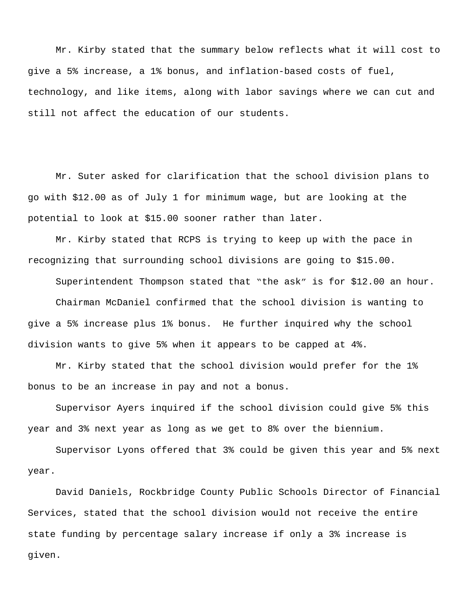Mr. Kirby stated that the summary below reflects what it will cost to give a 5% increase, a 1% bonus, and inflation-based costs of fuel, technology, and like items, along with labor savings where we can cut and still not affect the education of our students.

Mr. Suter asked for clarification that the school division plans to go with \$12.00 as of July 1 for minimum wage, but are looking at the potential to look at \$15.00 sooner rather than later.

Mr. Kirby stated that RCPS is trying to keep up with the pace in recognizing that surrounding school divisions are going to \$15.00.

 Superintendent Thompson stated that "the ask" is for \$12.00 an hour. Chairman McDaniel confirmed that the school division is wanting to give a 5% increase plus 1% bonus. He further inquired why the school division wants to give 5% when it appears to be capped at 4%.

Mr. Kirby stated that the school division would prefer for the 1% bonus to be an increase in pay and not a bonus.

Supervisor Ayers inquired if the school division could give 5% this year and 3% next year as long as we get to 8% over the biennium.

Supervisor Lyons offered that 3% could be given this year and 5% next year.

David Daniels, Rockbridge County Public Schools Director of Financial Services, stated that the school division would not receive the entire state funding by percentage salary increase if only a 3% increase is given.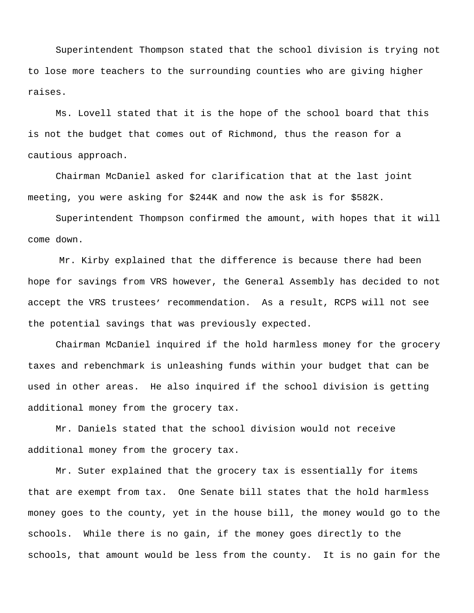Superintendent Thompson stated that the school division is trying not to lose more teachers to the surrounding counties who are giving higher raises.

Ms. Lovell stated that it is the hope of the school board that this is not the budget that comes out of Richmond, thus the reason for a cautious approach.

Chairman McDaniel asked for clarification that at the last joint meeting, you were asking for \$244K and now the ask is for \$582K.

Superintendent Thompson confirmed the amount, with hopes that it will come down.

Mr. Kirby explained that the difference is because there had been hope for savings from VRS however, the General Assembly has decided to not accept the VRS trustees' recommendation. As a result, RCPS will not see the potential savings that was previously expected.

Chairman McDaniel inquired if the hold harmless money for the grocery taxes and rebenchmark is unleashing funds within your budget that can be used in other areas. He also inquired if the school division is getting additional money from the grocery tax.

Mr. Daniels stated that the school division would not receive additional money from the grocery tax.

Mr. Suter explained that the grocery tax is essentially for items that are exempt from tax. One Senate bill states that the hold harmless money goes to the county, yet in the house bill, the money would go to the schools. While there is no gain, if the money goes directly to the schools, that amount would be less from the county. It is no gain for the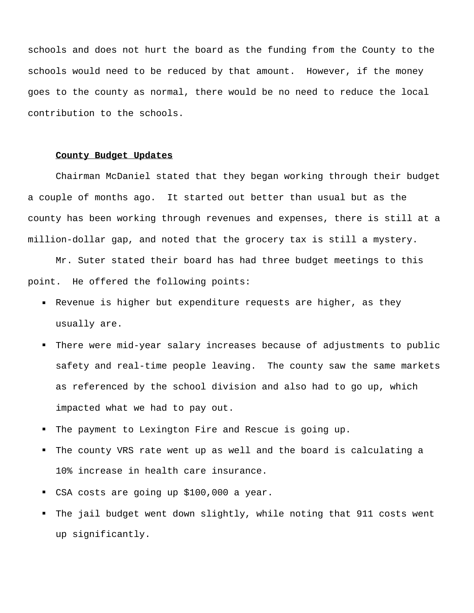schools and does not hurt the board as the funding from the County to the schools would need to be reduced by that amount. However, if the money goes to the county as normal, there would be no need to reduce the local contribution to the schools.

### **County Budget Updates**

Chairman McDaniel stated that they began working through their budget a couple of months ago. It started out better than usual but as the county has been working through revenues and expenses, there is still at a million-dollar gap, and noted that the grocery tax is still a mystery.

Mr. Suter stated their board has had three budget meetings to this point. He offered the following points:

- Revenue is higher but expenditure requests are higher, as they usually are.
- There were mid-year salary increases because of adjustments to public safety and real-time people leaving. The county saw the same markets as referenced by the school division and also had to go up, which impacted what we had to pay out.
- The payment to Lexington Fire and Rescue is going up.
- The county VRS rate went up as well and the board is calculating a 10% increase in health care insurance.
- CSA costs are going up \$100,000 a year.
- The jail budget went down slightly, while noting that 911 costs went up significantly.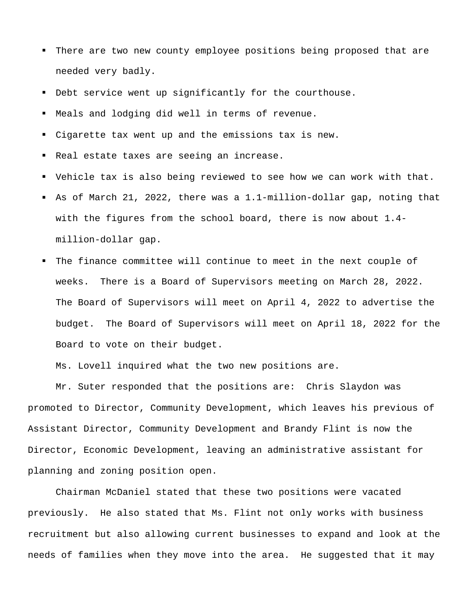- There are two new county employee positions being proposed that are needed very badly.
- Debt service went up significantly for the courthouse.
- Meals and lodging did well in terms of revenue.
- Cigarette tax went up and the emissions tax is new.
- Real estate taxes are seeing an increase.
- Vehicle tax is also being reviewed to see how we can work with that.
- As of March 21, 2022, there was a 1.1-million-dollar gap, noting that with the figures from the school board, there is now about 1.4 million-dollar gap.
- The finance committee will continue to meet in the next couple of weeks. There is a Board of Supervisors meeting on March 28, 2022. The Board of Supervisors will meet on April 4, 2022 to advertise the budget. The Board of Supervisors will meet on April 18, 2022 for the Board to vote on their budget.

Ms. Lovell inquired what the two new positions are.

Mr. Suter responded that the positions are: Chris Slaydon was promoted to Director, Community Development, which leaves his previous of Assistant Director, Community Development and Brandy Flint is now the Director, Economic Development, leaving an administrative assistant for planning and zoning position open.

Chairman McDaniel stated that these two positions were vacated previously. He also stated that Ms. Flint not only works with business recruitment but also allowing current businesses to expand and look at the needs of families when they move into the area. He suggested that it may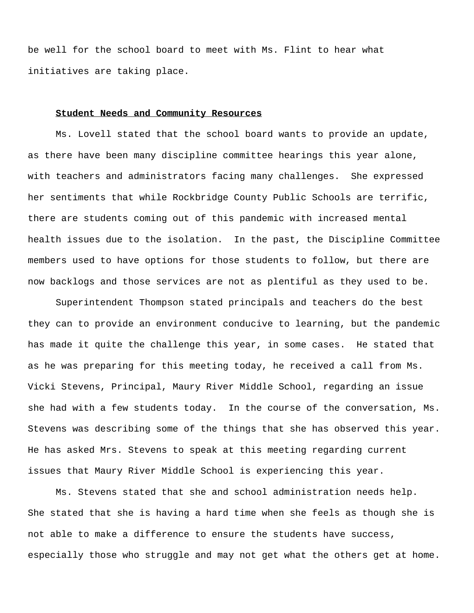be well for the school board to meet with Ms. Flint to hear what initiatives are taking place.

### **Student Needs and Community Resources**

Ms. Lovell stated that the school board wants to provide an update, as there have been many discipline committee hearings this year alone, with teachers and administrators facing many challenges. She expressed her sentiments that while Rockbridge County Public Schools are terrific, there are students coming out of this pandemic with increased mental health issues due to the isolation. In the past, the Discipline Committee members used to have options for those students to follow, but there are now backlogs and those services are not as plentiful as they used to be.

Superintendent Thompson stated principals and teachers do the best they can to provide an environment conducive to learning, but the pandemic has made it quite the challenge this year, in some cases. He stated that as he was preparing for this meeting today, he received a call from Ms. Vicki Stevens, Principal, Maury River Middle School, regarding an issue she had with a few students today. In the course of the conversation, Ms. Stevens was describing some of the things that she has observed this year. He has asked Mrs. Stevens to speak at this meeting regarding current issues that Maury River Middle School is experiencing this year.

Ms. Stevens stated that she and school administration needs help. She stated that she is having a hard time when she feels as though she is not able to make a difference to ensure the students have success, especially those who struggle and may not get what the others get at home.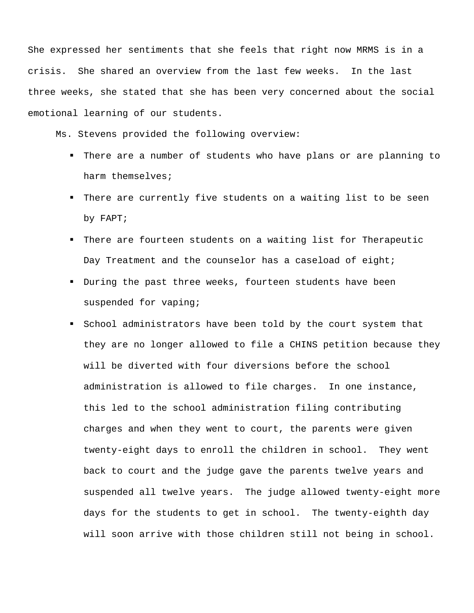She expressed her sentiments that she feels that right now MRMS is in a crisis. She shared an overview from the last few weeks. In the last three weeks, she stated that she has been very concerned about the social emotional learning of our students.

Ms. Stevens provided the following overview:

- There are a number of students who have plans or are planning to harm themselves;
- There are currently five students on a waiting list to be seen by FAPT;
- There are fourteen students on a waiting list for Therapeutic Day Treatment and the counselor has a caseload of eight;
- During the past three weeks, fourteen students have been suspended for vaping;
- School administrators have been told by the court system that they are no longer allowed to file a CHINS petition because they will be diverted with four diversions before the school administration is allowed to file charges. In one instance, this led to the school administration filing contributing charges and when they went to court, the parents were given twenty-eight days to enroll the children in school. They went back to court and the judge gave the parents twelve years and suspended all twelve years. The judge allowed twenty-eight more days for the students to get in school. The twenty-eighth day will soon arrive with those children still not being in school.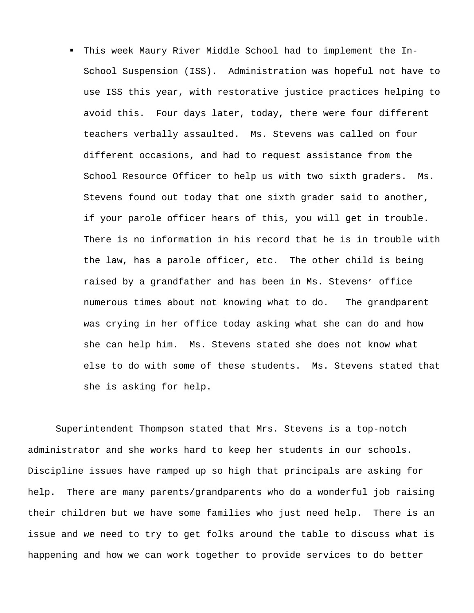This week Maury River Middle School had to implement the In-School Suspension (ISS). Administration was hopeful not have to use ISS this year, with restorative justice practices helping to avoid this. Four days later, today, there were four different teachers verbally assaulted. Ms. Stevens was called on four different occasions, and had to request assistance from the School Resource Officer to help us with two sixth graders. Ms. Stevens found out today that one sixth grader said to another, if your parole officer hears of this, you will get in trouble. There is no information in his record that he is in trouble with the law, has a parole officer, etc. The other child is being raised by a grandfather and has been in Ms. Stevens' office numerous times about not knowing what to do. The grandparent was crying in her office today asking what she can do and how she can help him. Ms. Stevens stated she does not know what else to do with some of these students. Ms. Stevens stated that she is asking for help.

Superintendent Thompson stated that Mrs. Stevens is a top-notch administrator and she works hard to keep her students in our schools. Discipline issues have ramped up so high that principals are asking for help. There are many parents/grandparents who do a wonderful job raising their children but we have some families who just need help. There is an issue and we need to try to get folks around the table to discuss what is happening and how we can work together to provide services to do better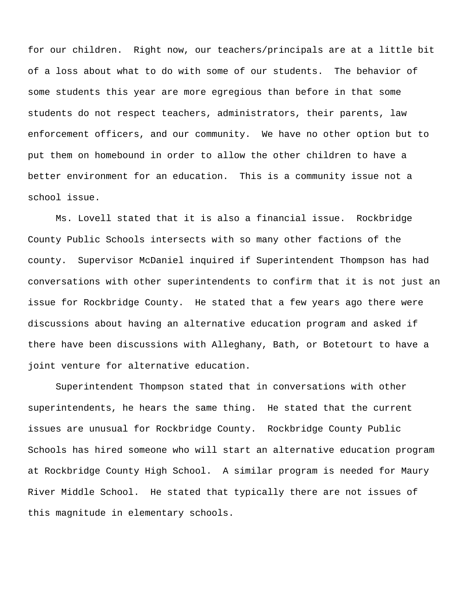for our children. Right now, our teachers/principals are at a little bit of a loss about what to do with some of our students. The behavior of some students this year are more egregious than before in that some students do not respect teachers, administrators, their parents, law enforcement officers, and our community. We have no other option but to put them on homebound in order to allow the other children to have a better environment for an education. This is a community issue not a school issue.

Ms. Lovell stated that it is also a financial issue. Rockbridge County Public Schools intersects with so many other factions of the county. Supervisor McDaniel inquired if Superintendent Thompson has had conversations with other superintendents to confirm that it is not just an issue for Rockbridge County. He stated that a few years ago there were discussions about having an alternative education program and asked if there have been discussions with Alleghany, Bath, or Botetourt to have a joint venture for alternative education.

Superintendent Thompson stated that in conversations with other superintendents, he hears the same thing. He stated that the current issues are unusual for Rockbridge County. Rockbridge County Public Schools has hired someone who will start an alternative education program at Rockbridge County High School. A similar program is needed for Maury River Middle School. He stated that typically there are not issues of this magnitude in elementary schools.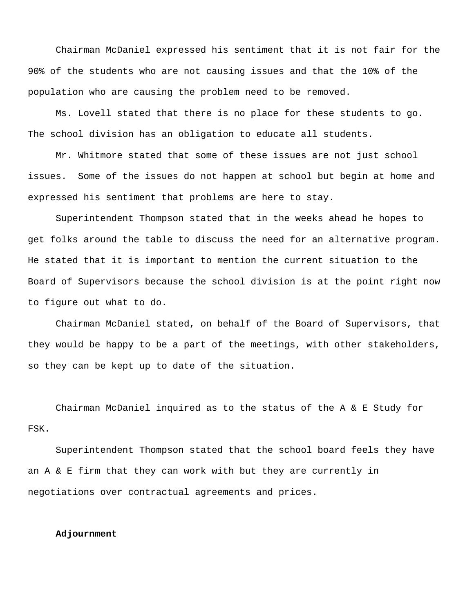Chairman McDaniel expressed his sentiment that it is not fair for the 90% of the students who are not causing issues and that the 10% of the population who are causing the problem need to be removed.

Ms. Lovell stated that there is no place for these students to go. The school division has an obligation to educate all students.

Mr. Whitmore stated that some of these issues are not just school issues. Some of the issues do not happen at school but begin at home and expressed his sentiment that problems are here to stay.

Superintendent Thompson stated that in the weeks ahead he hopes to get folks around the table to discuss the need for an alternative program. He stated that it is important to mention the current situation to the Board of Supervisors because the school division is at the point right now to figure out what to do.

Chairman McDaniel stated, on behalf of the Board of Supervisors, that they would be happy to be a part of the meetings, with other stakeholders, so they can be kept up to date of the situation.

Chairman McDaniel inquired as to the status of the A & E Study for FSK.

Superintendent Thompson stated that the school board feels they have an  $A \& E$  firm that they can work with but they are currently in negotiations over contractual agreements and prices.

# **Adjournment**